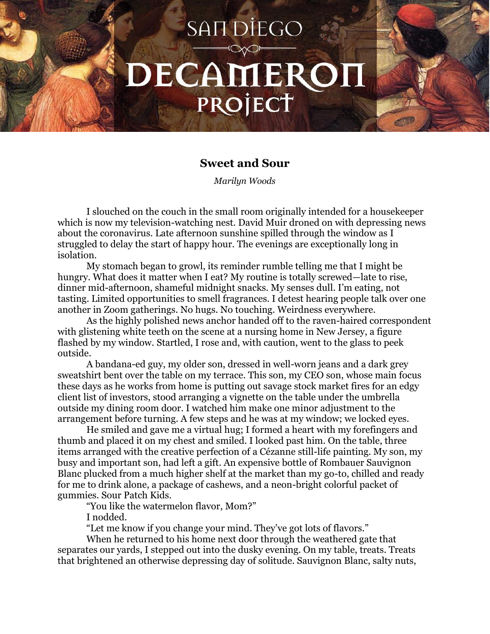## SAN DIEGO DECAMEROI PROJECT

## **Sweet and Sour**

*Marilyn Woods*

I slouched on the couch in the small room originally intended for a housekeeper which is now my television-watching nest. David Muir droned on with depressing news about the coronavirus. Late afternoon sunshine spilled through the window as I struggled to delay the start of happy hour. The evenings are exceptionally long in isolation.

My stomach began to growl, its reminder rumble telling me that I might be hungry. What does it matter when I eat? My routine is totally screwed—late to rise, dinner mid-afternoon, shameful midnight snacks. My senses dull. I'm eating, not tasting. Limited opportunities to smell fragrances. I detest hearing people talk over one another in Zoom gatherings. No hugs. No touching. Weirdness everywhere.

As the highly polished news anchor handed off to the raven-haired correspondent with glistening white teeth on the scene at a nursing home in New Jersey, a figure flashed by my window. Startled, I rose and, with caution, went to the glass to peek outside.

A bandana-ed guy, my older son, dressed in well-worn jeans and a dark grey sweatshirt bent over the table on my terrace. This son, my CEO son, whose main focus these days as he works from home is putting out savage stock market fires for an edgy client list of investors, stood arranging a vignette on the table under the umbrella outside my dining room door. I watched him make one minor adjustment to the arrangement before turning. A few steps and he was at my window; we locked eyes.

He smiled and gave me a virtual hug; I formed a heart with my forefingers and thumb and placed it on my chest and smiled. I looked past him. On the table, three items arranged with the creative perfection of a Cézanne still-life painting. My son, my busy and important son, had left a gift. An expensive bottle of Rombauer Sauvignon Blanc plucked from a much higher shelf at the market than my go-to, chilled and ready for me to drink alone, a package of cashews, and a neon-bright colorful packet of gummies. Sour Patch Kids.

"You like the watermelon flavor, Mom?"

I nodded.

"Let me know if you change your mind. They've got lots of flavors."

When he returned to his home next door through the weathered gate that separates our yards, I stepped out into the dusky evening. On my table, treats. Treats that brightened an otherwise depressing day of solitude. Sauvignon Blanc, salty nuts,